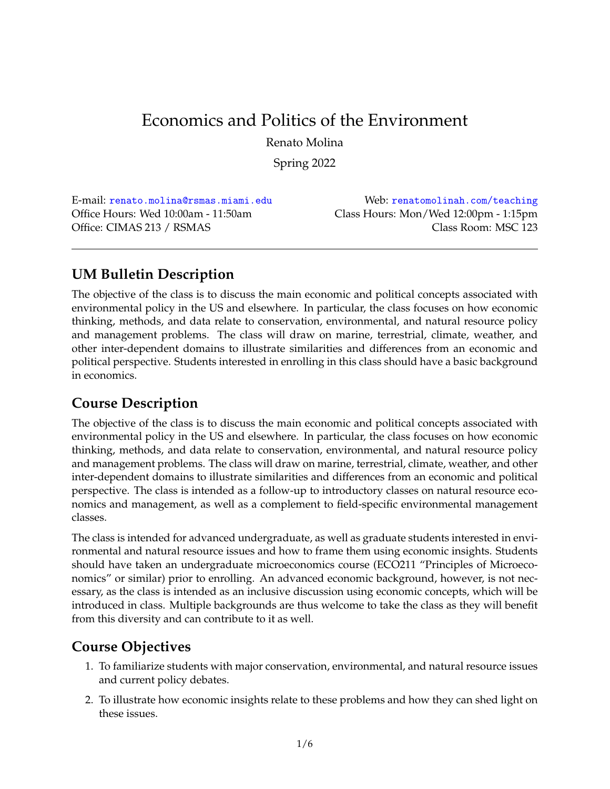# Economics and Politics of the Environment

Renato Molina

Spring 2022

Office Hours: Wed 10:00am - 11:50am Class Hours: Mon/Wed 12:00pm - 1:15pm Office: CIMAS 213 / RSMAS Class Room: MSC 123

E-mail: [renato.molina@rsmas.miami.edu](mailto:renato.molina@rsmas.miami.edu) Web: [renatomolinah.com/teaching](http://renatomolinah.com/teaching)

# **UM Bulletin Description**

The objective of the class is to discuss the main economic and political concepts associated with environmental policy in the US and elsewhere. In particular, the class focuses on how economic thinking, methods, and data relate to conservation, environmental, and natural resource policy and management problems. The class will draw on marine, terrestrial, climate, weather, and other inter-dependent domains to illustrate similarities and differences from an economic and political perspective. Students interested in enrolling in this class should have a basic background in economics.

# **Course Description**

The objective of the class is to discuss the main economic and political concepts associated with environmental policy in the US and elsewhere. In particular, the class focuses on how economic thinking, methods, and data relate to conservation, environmental, and natural resource policy and management problems. The class will draw on marine, terrestrial, climate, weather, and other inter-dependent domains to illustrate similarities and differences from an economic and political perspective. The class is intended as a follow-up to introductory classes on natural resource economics and management, as well as a complement to field-specific environmental management classes.

The class is intended for advanced undergraduate, as well as graduate students interested in environmental and natural resource issues and how to frame them using economic insights. Students should have taken an undergraduate microeconomics course (ECO211 "Principles of Microeconomics" or similar) prior to enrolling. An advanced economic background, however, is not necessary, as the class is intended as an inclusive discussion using economic concepts, which will be introduced in class. Multiple backgrounds are thus welcome to take the class as they will benefit from this diversity and can contribute to it as well.

# **Course Objectives**

- 1. To familiarize students with major conservation, environmental, and natural resource issues and current policy debates.
- 2. To illustrate how economic insights relate to these problems and how they can shed light on these issues.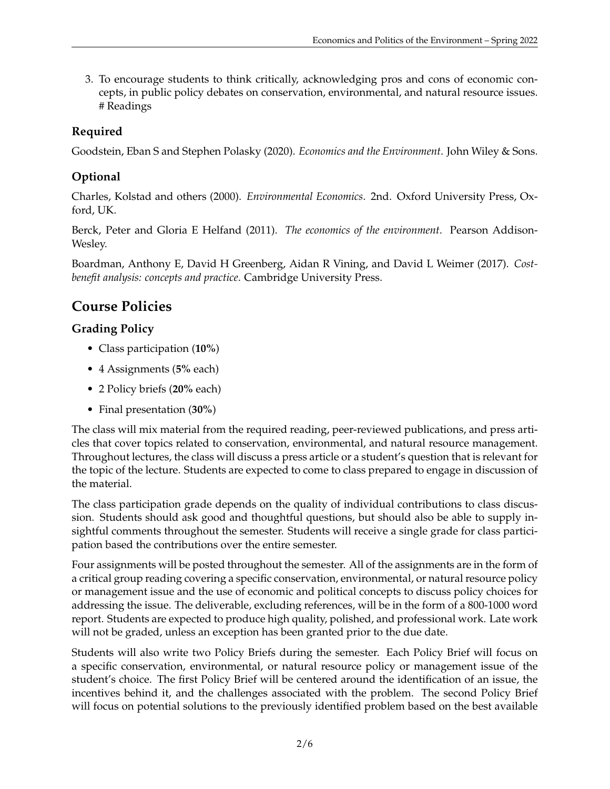3. To encourage students to think critically, acknowledging pros and cons of economic concepts, in public policy debates on conservation, environmental, and natural resource issues. # Readings

## **Required**

Goodstein, Eban S and Stephen Polasky (2020). *Economics and the Environment*. John Wiley & Sons.

## **Optional**

Charles, Kolstad and others (2000). *Environmental Economics*. 2nd. Oxford University Press, Oxford, UK.

Berck, Peter and Gloria E Helfand (2011). *The economics of the environment*. Pearson Addison-Wesley.

Boardman, Anthony E, David H Greenberg, Aidan R Vining, and David L Weimer (2017). *Costbenefit analysis: concepts and practice*. Cambridge University Press.

# **Course Policies**

## **Grading Policy**

- Class participation (**10%**)
- 4 Assignments (**5%** each)
- 2 Policy briefs (**20%** each)
- Final presentation (**30%**)

The class will mix material from the required reading, peer-reviewed publications, and press articles that cover topics related to conservation, environmental, and natural resource management. Throughout lectures, the class will discuss a press article or a student's question that is relevant for the topic of the lecture. Students are expected to come to class prepared to engage in discussion of the material.

The class participation grade depends on the quality of individual contributions to class discussion. Students should ask good and thoughtful questions, but should also be able to supply insightful comments throughout the semester. Students will receive a single grade for class participation based the contributions over the entire semester.

Four assignments will be posted throughout the semester. All of the assignments are in the form of a critical group reading covering a specific conservation, environmental, or natural resource policy or management issue and the use of economic and political concepts to discuss policy choices for addressing the issue. The deliverable, excluding references, will be in the form of a 800-1000 word report. Students are expected to produce high quality, polished, and professional work. Late work will not be graded, unless an exception has been granted prior to the due date.

Students will also write two Policy Briefs during the semester. Each Policy Brief will focus on a specific conservation, environmental, or natural resource policy or management issue of the student's choice. The first Policy Brief will be centered around the identification of an issue, the incentives behind it, and the challenges associated with the problem. The second Policy Brief will focus on potential solutions to the previously identified problem based on the best available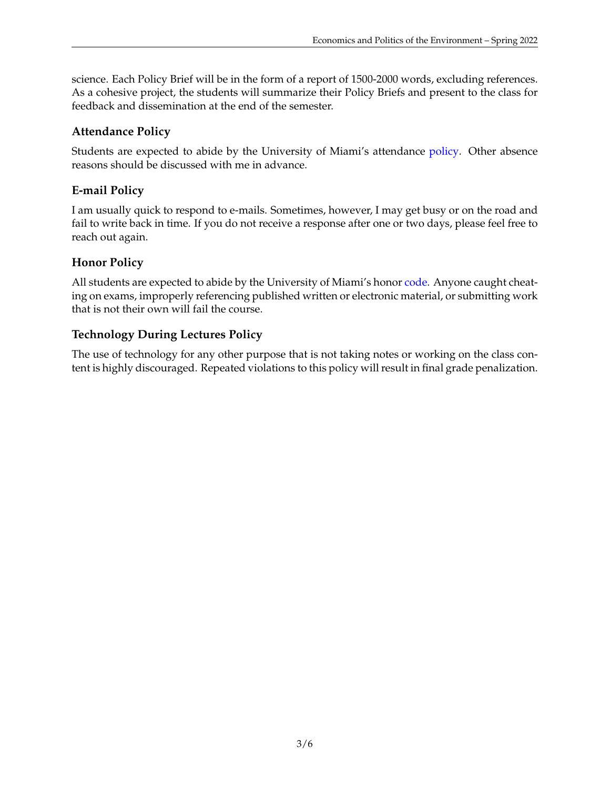science. Each Policy Brief will be in the form of a report of 1500-2000 words, excluding references. As a cohesive project, the students will summarize their Policy Briefs and present to the class for feedback and dissemination at the end of the semester.

### **Attendance Policy**

Students are expected to abide by the University of Miami's attendance [policy.](http://bulletin.miami.edu/general-university-information/university-policies/course-information/) Other absence reasons should be discussed with me in advance.

## **E-mail Policy**

I am usually quick to respond to e-mails. Sometimes, however, I may get busy or on the road and fail to write back in time. If you do not receive a response after one or two days, please feel free to reach out again.

## **Honor Policy**

All students are expected to abide by the University of Miami's honor [code.](https://doso.studentaffairs.miami.edu/units/undergraduate-honor-council/honor-code/) Anyone caught cheating on exams, improperly referencing published written or electronic material, or submitting work that is not their own will fail the course.

## **Technology During Lectures Policy**

The use of technology for any other purpose that is not taking notes or working on the class content is highly discouraged. Repeated violations to this policy will result in final grade penalization.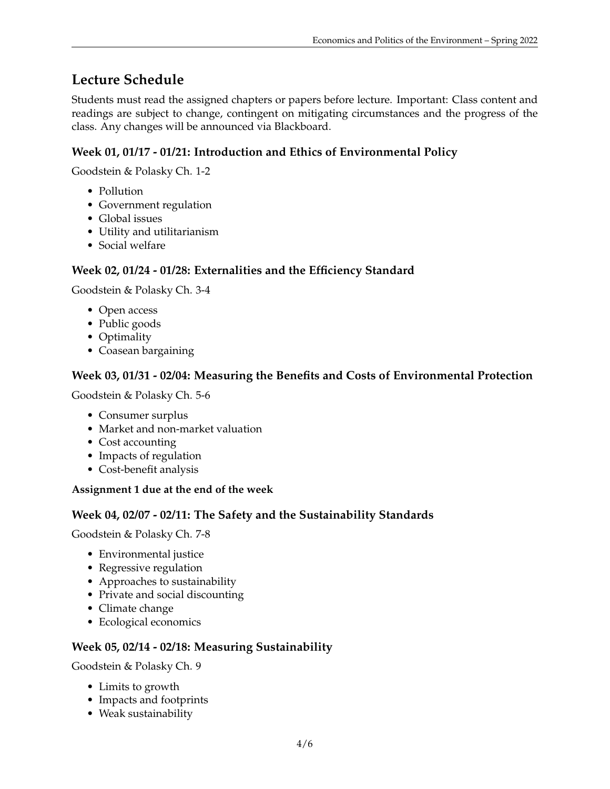# **Lecture Schedule**

Students must read the assigned chapters or papers before lecture. Important: Class content and readings are subject to change, contingent on mitigating circumstances and the progress of the class. Any changes will be announced via Blackboard.

## **Week 01, 01/17 - 01/21: Introduction and Ethics of Environmental Policy**

Goodstein & Polasky Ch. 1-2

- Pollution
- Government regulation
- Global issues
- Utility and utilitarianism
- Social welfare

#### **Week 02, 01/24 - 01/28: Externalities and the Efficiency Standard**

Goodstein & Polasky Ch. 3-4

- Open access
- Public goods
- Optimality
- Coasean bargaining

#### **Week 03, 01/31 - 02/04: Measuring the Benefits and Costs of Environmental Protection**

Goodstein & Polasky Ch. 5-6

- Consumer surplus
- Market and non-market valuation
- Cost accounting
- Impacts of regulation
- Cost-benefit analysis

#### **Assignment 1 due at the end of the week**

#### **Week 04, 02/07 - 02/11: The Safety and the Sustainability Standards**

Goodstein & Polasky Ch. 7-8

- Environmental justice
- Regressive regulation
- Approaches to sustainability
- Private and social discounting
- Climate change
- Ecological economics

#### **Week 05, 02/14 - 02/18: Measuring Sustainability**

Goodstein & Polasky Ch. 9

- Limits to growth
- Impacts and footprints
- Weak sustainability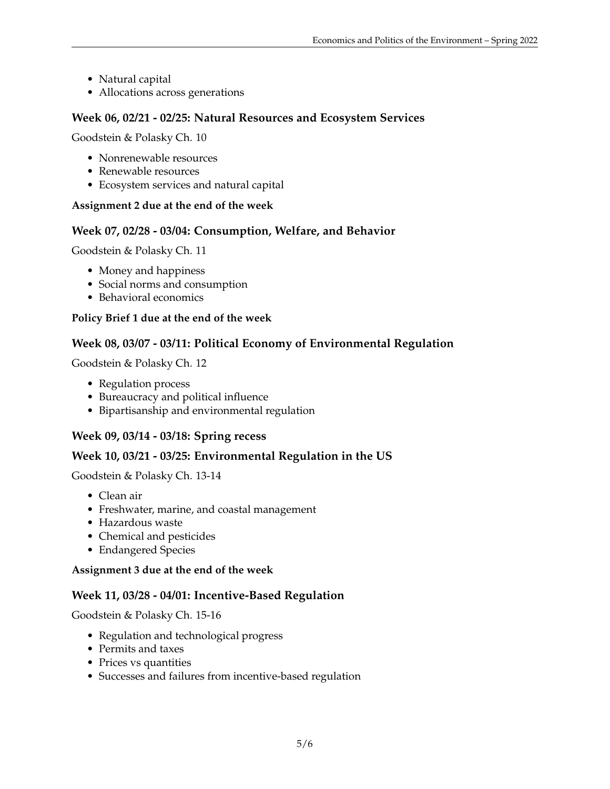- Natural capital
- Allocations across generations

### **Week 06, 02/21 - 02/25: Natural Resources and Ecosystem Services**

Goodstein & Polasky Ch. 10

- Nonrenewable resources
- Renewable resources
- Ecosystem services and natural capital

#### **Assignment 2 due at the end of the week**

#### **Week 07, 02/28 - 03/04: Consumption, Welfare, and Behavior**

Goodstein & Polasky Ch. 11

- Money and happiness
- Social norms and consumption
- Behavioral economics

#### **Policy Brief 1 due at the end of the week**

#### **Week 08, 03/07 - 03/11: Political Economy of Environmental Regulation**

Goodstein & Polasky Ch. 12

- Regulation process
- Bureaucracy and political influence
- Bipartisanship and environmental regulation

#### **Week 09, 03/14 - 03/18: Spring recess**

#### **Week 10, 03/21 - 03/25: Environmental Regulation in the US**

Goodstein & Polasky Ch. 13-14

- Clean air
- Freshwater, marine, and coastal management
- Hazardous waste
- Chemical and pesticides
- Endangered Species

#### **Assignment 3 due at the end of the week**

#### **Week 11, 03/28 - 04/01: Incentive-Based Regulation**

Goodstein & Polasky Ch. 15-16

- Regulation and technological progress
- Permits and taxes
- Prices vs quantities
- Successes and failures from incentive-based regulation